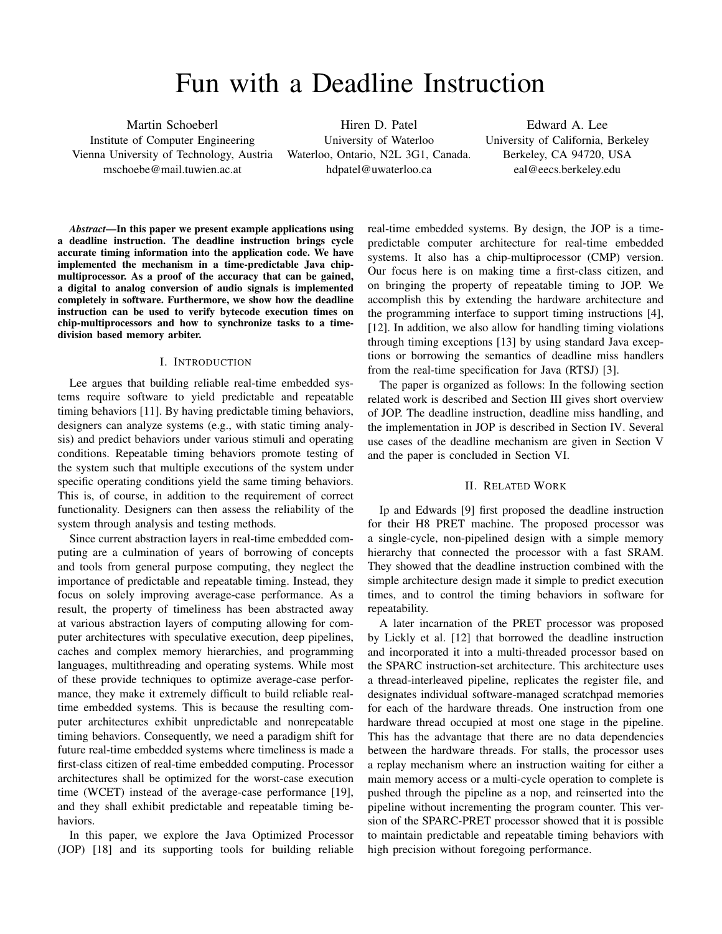# Fun with a Deadline Instruction

Martin Schoeberl Institute of Computer Engineering Vienna University of Technology, Austria mschoebe@mail.tuwien.ac.at

Hiren D. Patel University of Waterloo Waterloo, Ontario, N2L 3G1, Canada. hdpatel@uwaterloo.ca

Edward A. Lee University of California, Berkeley Berkeley, CA 94720, USA eal@eecs.berkeley.edu

*Abstract*—In this paper we present example applications using a deadline instruction. The deadline instruction brings cycle accurate timing information into the application code. We have implemented the mechanism in a time-predictable Java chipmultiprocessor. As a proof of the accuracy that can be gained, a digital to analog conversion of audio signals is implemented completely in software. Furthermore, we show how the deadline instruction can be used to verify bytecode execution times on chip-multiprocessors and how to synchronize tasks to a timedivision based memory arbiter.

# I. INTRODUCTION

Lee argues that building reliable real-time embedded systems require software to yield predictable and repeatable timing behaviors [\[11\]](#page-5-0). By having predictable timing behaviors, designers can analyze systems (e.g., with static timing analysis) and predict behaviors under various stimuli and operating conditions. Repeatable timing behaviors promote testing of the system such that multiple executions of the system under specific operating conditions yield the same timing behaviors. This is, of course, in addition to the requirement of correct functionality. Designers can then assess the reliability of the system through analysis and testing methods.

Since current abstraction layers in real-time embedded computing are a culmination of years of borrowing of concepts and tools from general purpose computing, they neglect the importance of predictable and repeatable timing. Instead, they focus on solely improving average-case performance. As a result, the property of timeliness has been abstracted away at various abstraction layers of computing allowing for computer architectures with speculative execution, deep pipelines, caches and complex memory hierarchies, and programming languages, multithreading and operating systems. While most of these provide techniques to optimize average-case performance, they make it extremely difficult to build reliable realtime embedded systems. This is because the resulting computer architectures exhibit unpredictable and nonrepeatable timing behaviors. Consequently, we need a paradigm shift for future real-time embedded systems where timeliness is made a first-class citizen of real-time embedded computing. Processor architectures shall be optimized for the worst-case execution time (WCET) instead of the average-case performance [\[19\]](#page-5-1), and they shall exhibit predictable and repeatable timing behaviors.

In this paper, we explore the Java Optimized Processor (JOP) [\[18\]](#page-5-2) and its supporting tools for building reliable real-time embedded systems. By design, the JOP is a timepredictable computer architecture for real-time embedded systems. It also has a chip-multiprocessor (CMP) version. Our focus here is on making time a first-class citizen, and on bringing the property of repeatable timing to JOP. We accomplish this by extending the hardware architecture and the programming interface to support timing instructions [\[4\]](#page-5-3), [\[12\]](#page-5-4). In addition, we also allow for handling timing violations through timing exceptions [\[13\]](#page-5-5) by using standard Java exceptions or borrowing the semantics of deadline miss handlers from the real-time specification for Java (RTSJ) [\[3\]](#page-5-6).

The paper is organized as follows: In the following section related work is described and Section [III](#page-1-0) gives short overview of JOP. The deadline instruction, deadline miss handling, and the implementation in JOP is described in Section [IV.](#page-1-1) Several use cases of the deadline mechanism are given in Section [V](#page-2-0) and the paper is concluded in Section [VI.](#page-4-0)

# II. RELATED WORK

Ip and Edwards [\[9\]](#page-5-7) first proposed the deadline instruction for their H8 PRET machine. The proposed processor was a single-cycle, non-pipelined design with a simple memory hierarchy that connected the processor with a fast SRAM. They showed that the deadline instruction combined with the simple architecture design made it simple to predict execution times, and to control the timing behaviors in software for repeatability.

A later incarnation of the PRET processor was proposed by Lickly et al. [\[12\]](#page-5-4) that borrowed the deadline instruction and incorporated it into a multi-threaded processor based on the SPARC instruction-set architecture. This architecture uses a thread-interleaved pipeline, replicates the register file, and designates individual software-managed scratchpad memories for each of the hardware threads. One instruction from one hardware thread occupied at most one stage in the pipeline. This has the advantage that there are no data dependencies between the hardware threads. For stalls, the processor uses a replay mechanism where an instruction waiting for either a main memory access or a multi-cycle operation to complete is pushed through the pipeline as a nop, and reinserted into the pipeline without incrementing the program counter. This version of the SPARC-PRET processor showed that it is possible to maintain predictable and repeatable timing behaviors with high precision without foregoing performance.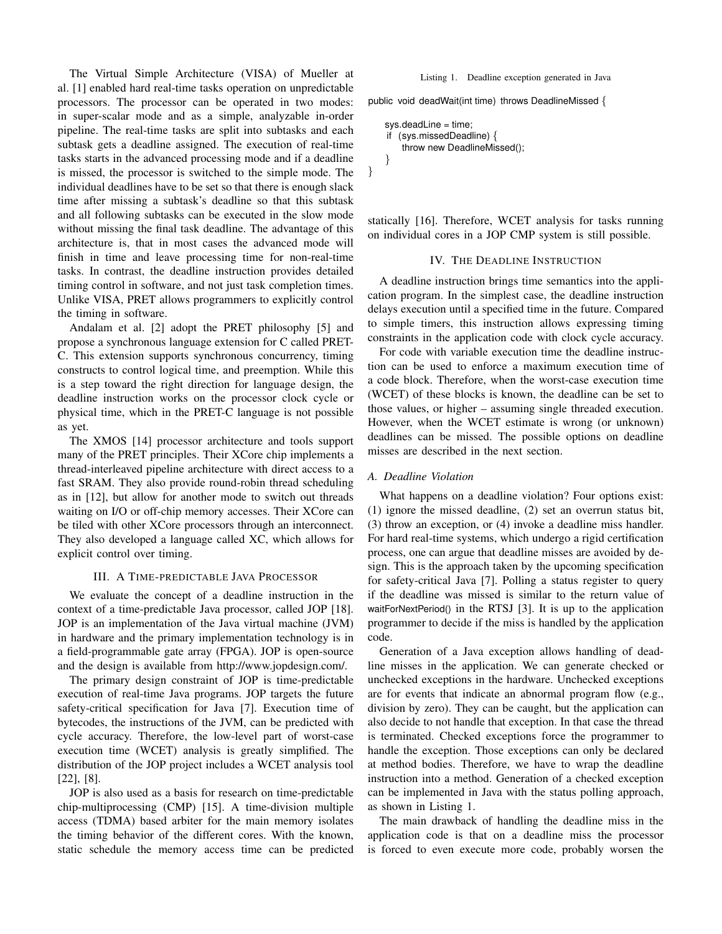The Virtual Simple Architecture (VISA) of Mueller at al. [\[1\]](#page-4-1) enabled hard real-time tasks operation on unpredictable processors. The processor can be operated in two modes: in super-scalar mode and as a simple, analyzable in-order pipeline. The real-time tasks are split into subtasks and each subtask gets a deadline assigned. The execution of real-time tasks starts in the advanced processing mode and if a deadline is missed, the processor is switched to the simple mode. The individual deadlines have to be set so that there is enough slack time after missing a subtask's deadline so that this subtask and all following subtasks can be executed in the slow mode without missing the final task deadline. The advantage of this architecture is, that in most cases the advanced mode will finish in time and leave processing time for non-real-time tasks. In contrast, the deadline instruction provides detailed timing control in software, and not just task completion times. Unlike VISA, PRET allows programmers to explicitly control the timing in software.

Andalam et al. [\[2\]](#page-4-2) adopt the PRET philosophy [\[5\]](#page-5-8) and propose a synchronous language extension for C called PRET-C. This extension supports synchronous concurrency, timing constructs to control logical time, and preemption. While this is a step toward the right direction for language design, the deadline instruction works on the processor clock cycle or physical time, which in the PRET-C language is not possible as yet.

The XMOS [\[14\]](#page-5-9) processor architecture and tools support many of the PRET principles. Their XCore chip implements a thread-interleaved pipeline architecture with direct access to a fast SRAM. They also provide round-robin thread scheduling as in [\[12\]](#page-5-4), but allow for another mode to switch out threads waiting on I/O or off-chip memory accesses. Their XCore can be tiled with other XCore processors through an interconnect. They also developed a language called XC, which allows for explicit control over timing.

#### III. A TIME-PREDICTABLE JAVA PROCESSOR

<span id="page-1-0"></span>We evaluate the concept of a deadline instruction in the context of a time-predictable Java processor, called JOP [\[18\]](#page-5-2). JOP is an implementation of the Java virtual machine (JVM) in hardware and the primary implementation technology is in a field-programmable gate array (FPGA). JOP is open-source and the design is available from [http://www.jopdesign.com/.](http://www.jopdesign.com/)

The primary design constraint of JOP is time-predictable execution of real-time Java programs. JOP targets the future safety-critical specification for Java [\[7\]](#page-5-10). Execution time of bytecodes, the instructions of the JVM, can be predicted with cycle accuracy. Therefore, the low-level part of worst-case execution time (WCET) analysis is greatly simplified. The distribution of the JOP project includes a WCET analysis tool [\[22\]](#page-5-11), [\[8\]](#page-5-12).

JOP is also used as a basis for research on time-predictable chip-multiprocessing (CMP) [\[15\]](#page-5-13). A time-division multiple access (TDMA) based arbiter for the main memory isolates the timing behavior of the different cores. With the known, static schedule the memory access time can be predicted Listing 1. Deadline exception generated in Java

<span id="page-1-2"></span>public void deadWait(int time) throws DeadlineMissed {

```
sys.deadLine = time;
if (sys.missedDeadline) {
   throw new DeadlineMissed();
}
```
}

statically [\[16\]](#page-5-14). Therefore, WCET analysis for tasks running on individual cores in a JOP CMP system is still possible.

#### IV. THE DEADLINE INSTRUCTION

<span id="page-1-1"></span>A deadline instruction brings time semantics into the application program. In the simplest case, the deadline instruction delays execution until a specified time in the future. Compared to simple timers, this instruction allows expressing timing constraints in the application code with clock cycle accuracy.

For code with variable execution time the deadline instruction can be used to enforce a maximum execution time of a code block. Therefore, when the worst-case execution time (WCET) of these blocks is known, the deadline can be set to those values, or higher – assuming single threaded execution. However, when the WCET estimate is wrong (or unknown) deadlines can be missed. The possible options on deadline misses are described in the next section.

# *A. Deadline Violation*

What happens on a deadline violation? Four options exist: (1) ignore the missed deadline, (2) set an overrun status bit, (3) throw an exception, or (4) invoke a deadline miss handler. For hard real-time systems, which undergo a rigid certification process, one can argue that deadline misses are avoided by design. This is the approach taken by the upcoming specification for safety-critical Java [\[7\]](#page-5-10). Polling a status register to query if the deadline was missed is similar to the return value of waitForNextPeriod() in the RTSJ [\[3\]](#page-5-6). It is up to the application programmer to decide if the miss is handled by the application code.

Generation of a Java exception allows handling of deadline misses in the application. We can generate checked or unchecked exceptions in the hardware. Unchecked exceptions are for events that indicate an abnormal program flow (e.g., division by zero). They can be caught, but the application can also decide to not handle that exception. In that case the thread is terminated. Checked exceptions force the programmer to handle the exception. Those exceptions can only be declared at method bodies. Therefore, we have to wrap the deadline instruction into a method. Generation of a checked exception can be implemented in Java with the status polling approach, as shown in Listing [1.](#page-1-2)

The main drawback of handling the deadline miss in the application code is that on a deadline miss the processor is forced to even execute more code, probably worsen the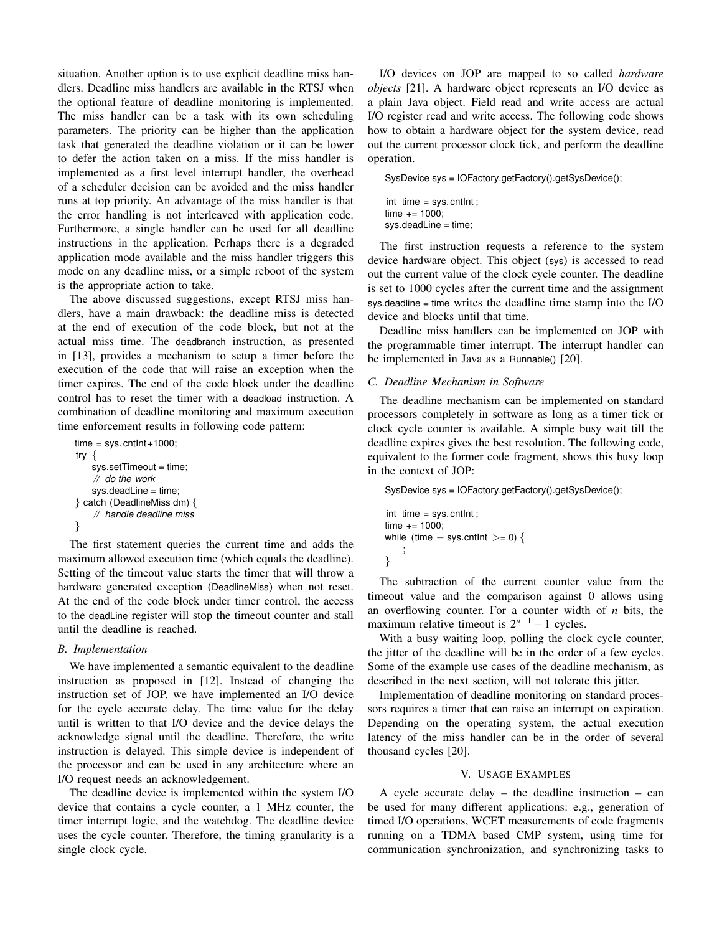situation. Another option is to use explicit deadline miss handlers. Deadline miss handlers are available in the RTSJ when the optional feature of deadline monitoring is implemented. The miss handler can be a task with its own scheduling parameters. The priority can be higher than the application task that generated the deadline violation or it can be lower to defer the action taken on a miss. If the miss handler is implemented as a first level interrupt handler, the overhead of a scheduler decision can be avoided and the miss handler runs at top priority. An advantage of the miss handler is that the error handling is not interleaved with application code. Furthermore, a single handler can be used for all deadline instructions in the application. Perhaps there is a degraded application mode available and the miss handler triggers this mode on any deadline miss, or a simple reboot of the system is the appropriate action to take.

The above discussed suggestions, except RTSJ miss handlers, have a main drawback: the deadline miss is detected at the end of execution of the code block, but not at the actual miss time. The deadbranch instruction, as presented in [\[13\]](#page-5-5), provides a mechanism to setup a timer before the execution of the code that will raise an exception when the timer expires. The end of the code block under the deadline control has to reset the timer with a deadload instruction. A combination of deadline monitoring and maximum execution time enforcement results in following code pattern:

```
time = sys.cntInt + 1000;try {
   sys.setTimeout = time;
    // do the work
   sys.deadLine = time;
} catch (DeadlineMiss dm) {
    // handle deadline miss
}
```
The first statement queries the current time and adds the maximum allowed execution time (which equals the deadline). Setting of the timeout value starts the timer that will throw a hardware generated exception (DeadlineMiss) when not reset. At the end of the code block under timer control, the access to the deadLine register will stop the timeout counter and stall until the deadline is reached.

## *B. Implementation*

We have implemented a semantic equivalent to the deadline instruction as proposed in [\[12\]](#page-5-4). Instead of changing the instruction set of JOP, we have implemented an I/O device for the cycle accurate delay. The time value for the delay until is written to that I/O device and the device delays the acknowledge signal until the deadline. Therefore, the write instruction is delayed. This simple device is independent of the processor and can be used in any architecture where an I/O request needs an acknowledgement.

The deadline device is implemented within the system I/O device that contains a cycle counter, a 1 MHz counter, the timer interrupt logic, and the watchdog. The deadline device uses the cycle counter. Therefore, the timing granularity is a single clock cycle.

I/O devices on JOP are mapped to so called *hardware objects* [\[21\]](#page-5-15). A hardware object represents an I/O device as a plain Java object. Field read and write access are actual I/O register read and write access. The following code shows how to obtain a hardware object for the system device, read out the current processor clock tick, and perform the deadline operation.

SysDevice sys = IOFactory.getFactory().getSysDevice();

int time = sys. cntlnt; time += 1000; sys.deadLine = time;

The first instruction requests a reference to the system device hardware object. This object (sys) is accessed to read out the current value of the clock cycle counter. The deadline is set to 1000 cycles after the current time and the assignment sys.deadline = time writes the deadline time stamp into the I/O device and blocks until that time.

Deadline miss handlers can be implemented on JOP with the programmable timer interrupt. The interrupt handler can be implemented in Java as a Runnable() [\[20\]](#page-5-16).

# *C. Deadline Mechanism in Software*

The deadline mechanism can be implemented on standard processors completely in software as long as a timer tick or clock cycle counter is available. A simple busy wait till the deadline expires gives the best resolution. The following code, equivalent to the former code fragment, shows this busy loop in the context of JOP:

SysDevice sys = IOFactory.getFactory().getSysDevice();

```
int time = sys. cntlnt;
time += 1000;
while (time - sys.cntlnt >= 0) {
    ;
}
```
The subtraction of the current counter value from the timeout value and the comparison against 0 allows using an overflowing counter. For a counter width of *n* bits, the maximum relative timeout is  $2^{n-1} - 1$  cycles.

With a busy waiting loop, polling the clock cycle counter, the jitter of the deadline will be in the order of a few cycles. Some of the example use cases of the deadline mechanism, as described in the next section, will not tolerate this jitter.

Implementation of deadline monitoring on standard processors requires a timer that can raise an interrupt on expiration. Depending on the operating system, the actual execution latency of the miss handler can be in the order of several thousand cycles [\[20\]](#page-5-16).

## V. USAGE EXAMPLES

<span id="page-2-0"></span>A cycle accurate delay – the deadline instruction – can be used for many different applications: e.g., generation of timed I/O operations, WCET measurements of code fragments running on a TDMA based CMP system, using time for communication synchronization, and synchronizing tasks to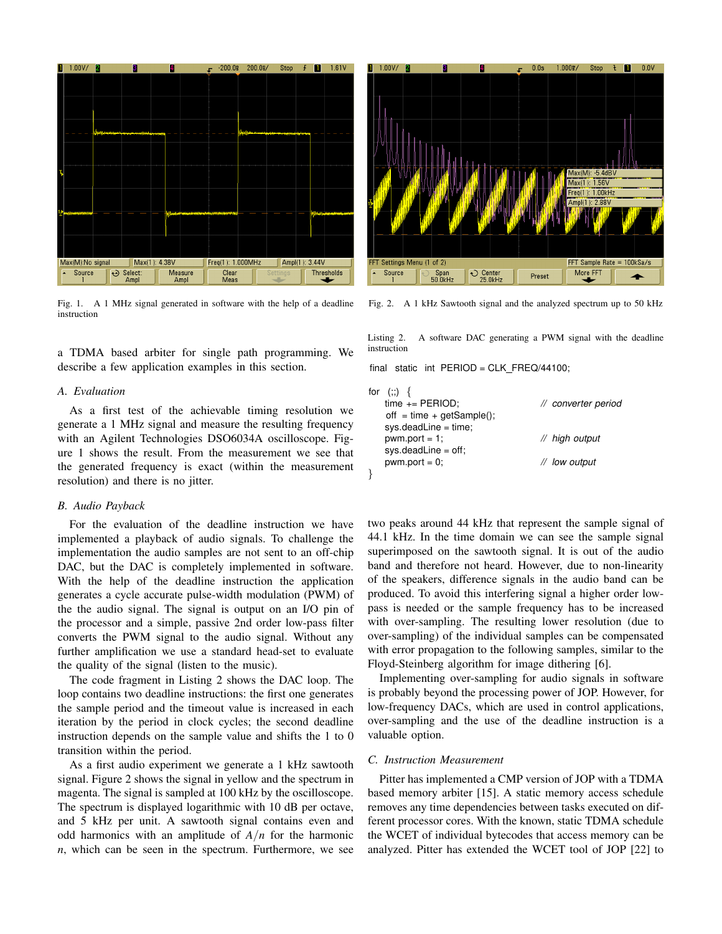

<span id="page-3-0"></span>Fig. 1. A 1 MHz signal generated in software with the help of a deadline instruction

a TDMA based arbiter for single path programming. We describe a few application examples in this section.

#### *A. Evaluation*

As a first test of the achievable timing resolution we generate a 1 MHz signal and measure the resulting frequency with an Agilent Technologies DSO6034A oscilloscope. Figure [1](#page-3-0) shows the result. From the measurement we see that the generated frequency is exact (within the measurement resolution) and there is no jitter.

# *B. Audio Payback*

For the evaluation of the deadline instruction we have implemented a playback of audio signals. To challenge the implementation the audio samples are not sent to an off-chip DAC, but the DAC is completely implemented in software. With the help of the deadline instruction the application generates a cycle accurate pulse-width modulation (PWM) of the the audio signal. The signal is output on an I/O pin of the processor and a simple, passive 2nd order low-pass filter converts the PWM signal to the audio signal. Without any further amplification we use a standard head-set to evaluate the quality of the signal (listen to the music).

The code fragment in Listing [2](#page-3-1) shows the DAC loop. The loop contains two deadline instructions: the first one generates the sample period and the timeout value is increased in each iteration by the period in clock cycles; the second deadline instruction depends on the sample value and shifts the 1 to 0 transition within the period.

As a first audio experiment we generate a 1 kHz sawtooth signal. Figure [2](#page-3-2) shows the signal in yellow and the spectrum in magenta. The signal is sampled at 100 kHz by the oscilloscope. The spectrum is displayed logarithmic with 10 dB per octave, and 5 kHz per unit. A sawtooth signal contains even and odd harmonics with an amplitude of *A*/*n* for the harmonic *n*, which can be seen in the spectrum. Furthermore, we see



<span id="page-3-2"></span>Fig. 2. A 1 kHz Sawtooth signal and the analyzed spectrum up to 50 kHz

<span id="page-3-1"></span>Listing 2. A software DAC generating a PWM signal with the deadline instruction

final static int  $PERIOD = CLK$   $FREQ/44100$ ;

| for $(:.)$ {                  |                     |
|-------------------------------|---------------------|
| $time += PERIOD;$             | // converter period |
| off $=$ time $+$ getSample(); |                     |
| $sys.deadLine = time;$        |                     |
| $pwm.port = 1$ ;              | // high output      |
| $sys.deadLine = off;$         |                     |
| $pwm.port = 0$ ;              | // low output       |
|                               |                     |

two peaks around 44 kHz that represent the sample signal of 44.1 kHz. In the time domain we can see the sample signal superimposed on the sawtooth signal. It is out of the audio band and therefore not heard. However, due to non-linearity of the speakers, difference signals in the audio band can be produced. To avoid this interfering signal a higher order lowpass is needed or the sample frequency has to be increased with over-sampling. The resulting lower resolution (due to over-sampling) of the individual samples can be compensated with error propagation to the following samples, similar to the Floyd-Steinberg algorithm for image dithering [\[6\]](#page-5-17).

Implementing over-sampling for audio signals in software is probably beyond the processing power of JOP. However, for low-frequency DACs, which are used in control applications, over-sampling and the use of the deadline instruction is a valuable option.

#### *C. Instruction Measurement*

Pitter has implemented a CMP version of JOP with a TDMA based memory arbiter [\[15\]](#page-5-13). A static memory access schedule removes any time dependencies between tasks executed on different processor cores. With the known, static TDMA schedule the WCET of individual bytecodes that access memory can be analyzed. Pitter has extended the WCET tool of JOP [\[22\]](#page-5-11) to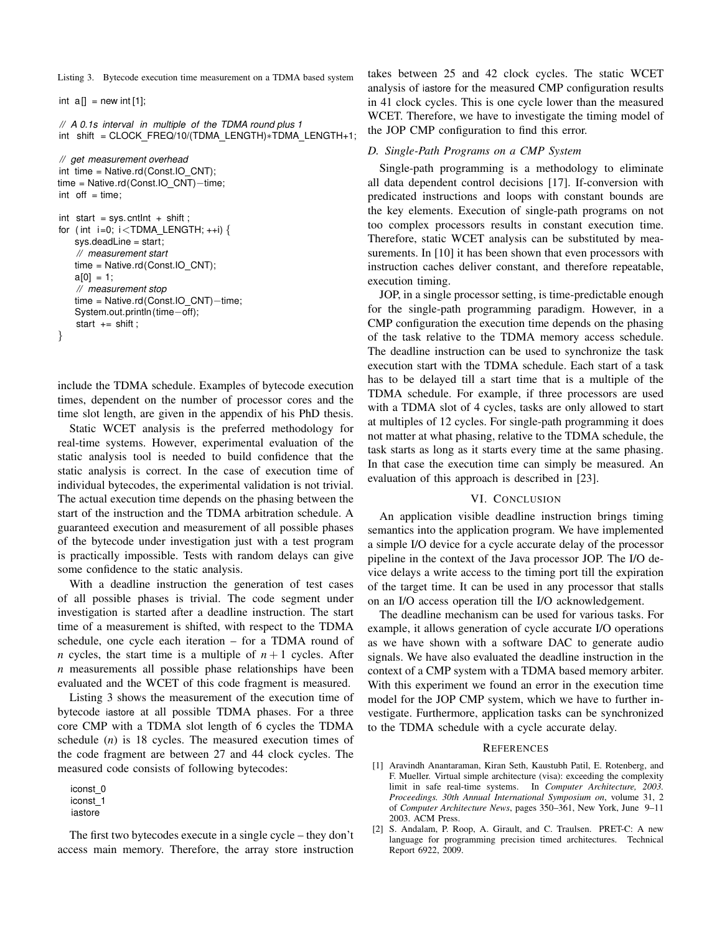<span id="page-4-3"></span>Listing 3. Bytecode execution time measurement on a TDMA based system

int  $a[] = new int [1];$ 

```
// A 0.1s interval in multiple of the TDMA round plus 1
int shift = CLOCK FREQ/10/(TDMA LENGTH)∗TDMA LENGTH+1;
```

```
// get measurement overhead
int time = Native.rd(Const.IO CNT);
time = Native.rd(Const.IO CNT)−time;
int off = time;
```

```
int start = sys. cntlnt + shift;
for (int i=0; i <TDMA LENGTH; ++i) {
   sys.deadLine = start;
    // measurement start
   time = Native.rd(Const.IO_CNT);
   a[0] = 1;// measurement stop
   time = Native.rd(Const.IO CNT)−time;
   System.out.println (time−off);
    start += shift;
}
```
include the TDMA schedule. Examples of bytecode execution times, dependent on the number of processor cores and the time slot length, are given in the appendix of his PhD thesis.

Static WCET analysis is the preferred methodology for real-time systems. However, experimental evaluation of the static analysis tool is needed to build confidence that the static analysis is correct. In the case of execution time of individual bytecodes, the experimental validation is not trivial. The actual execution time depends on the phasing between the start of the instruction and the TDMA arbitration schedule. A guaranteed execution and measurement of all possible phases of the bytecode under investigation just with a test program is practically impossible. Tests with random delays can give some confidence to the static analysis.

With a deadline instruction the generation of test cases of all possible phases is trivial. The code segment under investigation is started after a deadline instruction. The start time of a measurement is shifted, with respect to the TDMA schedule, one cycle each iteration – for a TDMA round of *n* cycles, the start time is a multiple of  $n+1$  cycles. After *n* measurements all possible phase relationships have been evaluated and the WCET of this code fragment is measured.

Listing [3](#page-4-3) shows the measurement of the execution time of bytecode iastore at all possible TDMA phases. For a three core CMP with a TDMA slot length of 6 cycles the TDMA schedule (*n*) is 18 cycles. The measured execution times of the code fragment are between 27 and 44 clock cycles. The measured code consists of following bytecodes:

iconst 0 iconst 1 iastore

The first two bytecodes execute in a single cycle – they don't access main memory. Therefore, the array store instruction takes between 25 and 42 clock cycles. The static WCET analysis of iastore for the measured CMP configuration results in 41 clock cycles. This is one cycle lower than the measured WCET. Therefore, we have to investigate the timing model of the JOP CMP configuration to find this error.

#### *D. Single-Path Programs on a CMP System*

Single-path programming is a methodology to eliminate all data dependent control decisions [\[17\]](#page-5-18). If-conversion with predicated instructions and loops with constant bounds are the key elements. Execution of single-path programs on not too complex processors results in constant execution time. Therefore, static WCET analysis can be substituted by mea-surements. In [\[10\]](#page-5-19) it has been shown that even processors with instruction caches deliver constant, and therefore repeatable, execution timing.

JOP, in a single processor setting, is time-predictable enough for the single-path programming paradigm. However, in a CMP configuration the execution time depends on the phasing of the task relative to the TDMA memory access schedule. The deadline instruction can be used to synchronize the task execution start with the TDMA schedule. Each start of a task has to be delayed till a start time that is a multiple of the TDMA schedule. For example, if three processors are used with a TDMA slot of 4 cycles, tasks are only allowed to start at multiples of 12 cycles. For single-path programming it does not matter at what phasing, relative to the TDMA schedule, the task starts as long as it starts every time at the same phasing. In that case the execution time can simply be measured. An evaluation of this approach is described in [\[23\]](#page-5-20).

# VI. CONCLUSION

<span id="page-4-0"></span>An application visible deadline instruction brings timing semantics into the application program. We have implemented a simple I/O device for a cycle accurate delay of the processor pipeline in the context of the Java processor JOP. The I/O device delays a write access to the timing port till the expiration of the target time. It can be used in any processor that stalls on an I/O access operation till the I/O acknowledgement.

The deadline mechanism can be used for various tasks. For example, it allows generation of cycle accurate I/O operations as we have shown with a software DAC to generate audio signals. We have also evaluated the deadline instruction in the context of a CMP system with a TDMA based memory arbiter. With this experiment we found an error in the execution time model for the JOP CMP system, which we have to further investigate. Furthermore, application tasks can be synchronized to the TDMA schedule with a cycle accurate delay.

#### **REFERENCES**

- <span id="page-4-1"></span>[1] Aravindh Anantaraman, Kiran Seth, Kaustubh Patil, E. Rotenberg, and F. Mueller. Virtual simple architecture (visa): exceeding the complexity limit in safe real-time systems. In *Computer Architecture, 2003. Proceedings. 30th Annual International Symposium on*, volume 31, 2 of *Computer Architecture News*, pages 350–361, New York, June 9–11 2003. ACM Press.
- <span id="page-4-2"></span>[2] S. Andalam, P. Roop, A. Girault, and C. Traulsen. PRET-C: A new language for programming precision timed architectures. Technical Report 6922, 2009.